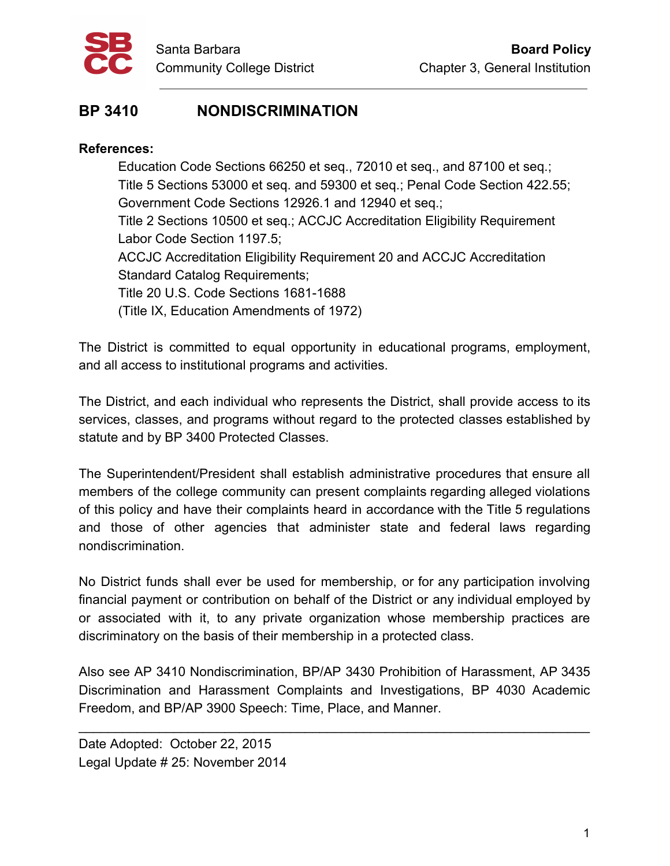

## **BP 3410 NONDISCRIMINATION**

## **References:**

Education Code Sections 66250 et seq., 72010 et seq., and 87100 et seq.; Title 5 Sections 53000 et seq. and 59300 et seq.; Penal Code Section 422.55; Government Code Sections 12926.1 and 12940 et seq.; Title 2 Sections 10500 et seq.; ACCJC Accreditation Eligibility Requirement Labor Code Section 1197.5; ACCJC Accreditation Eligibility Requirement 20 and ACCJC Accreditation Standard Catalog Requirements; Title 20 U.S. Code Sections 1681-1688 (Title IX, Education Amendments of 1972)

The District is committed to equal opportunity in educational programs, employment, and all access to institutional programs and activities.

The District, and each individual who represents the District, shall provide access to its services, classes, and programs without regard to the protected classes established by statute and by BP 3400 Protected Classes.

The Superintendent/President shall establish administrative procedures that ensure all members of the college community can present complaints regarding alleged violations of this policy and have their complaints heard in accordance with the Title 5 regulations and those of other agencies that administer state and federal laws regarding nondiscrimination.

No District funds shall ever be used for membership, or for any participation involving financial payment or contribution on behalf of the District or any individual employed by or associated with it, to any private organization whose membership practices are discriminatory on the basis of their membership in a protected class.

Also see AP 3410 Nondiscrimination, BP/AP 3430 Prohibition of Harassment, AP 3435 Discrimination and Harassment Complaints and Investigations, BP 4030 Academic Freedom, and BP/AP 3900 Speech: Time, Place, and Manner.

\_\_\_\_\_\_\_\_\_\_\_\_\_\_\_\_\_\_\_\_\_\_\_\_\_\_\_\_\_\_\_\_\_\_\_\_\_\_\_\_\_\_\_\_\_\_\_\_\_\_\_\_\_\_\_\_\_\_\_\_\_\_\_\_\_\_\_\_\_\_

Date Adopted: October 22, 2015 Legal Update # 25: November 2014